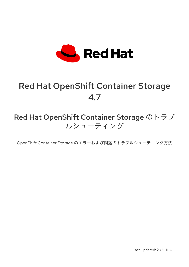

# Red Hat OpenShift Container Storage 4.7

# Red Hat OpenShift Container Storage のトラブ ルシューティング

OpenShift Container Storage のエラーおよび問題のトラブルシューティング方法

Last Updated: 2021-11-01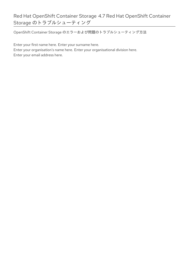## Red Hat OpenShift Container Storage 4.7 Red Hat OpenShift Container Storage のトラブルシューティング

OpenShift Container Storage のエラーおよび問題のトラブルシューティング方法

Enter your first name here. Enter your surname here.

Enter your organisation's name here. Enter your organisational division here. Enter your email address here.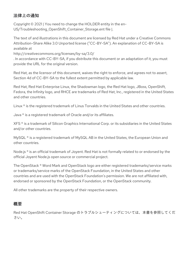## 法律上の通知

Copyright © 2021 | You need to change the HOLDER entity in the en-US/Troubleshooting\_OpenShift\_Container\_Storage.ent file |.

The text of and illustrations in this document are licensed by Red Hat under a Creative Commons Attribution–Share Alike 3.0 Unported license ("CC-BY-SA"). An explanation of CC-BY-SA is available at

http://creativecommons.org/licenses/by-sa/3.0/

. In accordance with CC-BY-SA, if you distribute this document or an adaptation of it, you must provide the URL for the original version.

Red Hat, as the licensor of this document, waives the right to enforce, and agrees not to assert, Section 4d of CC-BY-SA to the fullest extent permitted by applicable law.

Red Hat, Red Hat Enterprise Linux, the Shadowman logo, the Red Hat logo, JBoss, OpenShift, Fedora, the Infinity logo, and RHCE are trademarks of Red Hat, Inc., registered in the United States and other countries.

Linux ® is the registered trademark of Linus Torvalds in the United States and other countries.

Java ® is a registered trademark of Oracle and/or its affiliates.

XFS ® is a trademark of Silicon Graphics International Corp. or its subsidiaries in the United States and/or other countries.

MySQL<sup>®</sup> is a registered trademark of MySQL AB in the United States, the European Union and other countries.

Node.js ® is an official trademark of Joyent. Red Hat is not formally related to or endorsed by the official Joyent Node.js open source or commercial project.

The OpenStack ® Word Mark and OpenStack logo are either registered trademarks/service marks or trademarks/service marks of the OpenStack Foundation, in the United States and other countries and are used with the OpenStack Foundation's permission. We are not affiliated with, endorsed or sponsored by the OpenStack Foundation, or the OpenStack community.

All other trademarks are the property of their respective owners.

### 概要

Red Hat OpenShift Container Storage のトラブルシューティングについては、本書を参照してくだ さい。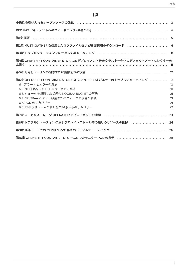## 目次

| 第1章 概要                                                                                                                                                                                                                                   |                                        |
|------------------------------------------------------------------------------------------------------------------------------------------------------------------------------------------------------------------------------------------|----------------------------------------|
|                                                                                                                                                                                                                                          |                                        |
|                                                                                                                                                                                                                                          |                                        |
| 第4章 OPENSHIFT CONTAINER STORAGE デプロイメント後のクラスター全体のデフォルトノードセレクターの<br>上書き                                                                                                                                                                   |                                        |
|                                                                                                                                                                                                                                          |                                        |
| 第6章 OPENSHIFT CONTAINER STORAGE のアラートおよびエラーのトラブルシューティング<br>6.1. アラートとエラーの解決<br>6.2. NOOBAA BUCKET エラー状態の解決<br>6.3. クォータを超過した状態の NOOBAA BUCKET の解決<br>6.4. NOOBAA バケット容量またはクォータの状態の解決<br>6.5. POD のリカバリー<br>6.6. EBS ボリュームの割り当て解除からのリカバリー | 13<br>13<br>20<br>21<br>21<br>21<br>22 |
|                                                                                                                                                                                                                                          | 23                                     |
| 第8章 トラブルシューティングおよびアンインストール時の残りのリソースの削除                                                                                                                                                                                                   | 24                                     |
|                                                                                                                                                                                                                                          |                                        |
|                                                                                                                                                                                                                                          |                                        |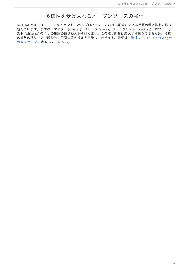### 多様性を受け入れるオープンソースの強化

<span id="page-6-0"></span>Red Hat では、コード、ドキュメント、Web プロパティーにおける配慮に欠ける用語の置き換えに取り 組んでいます。まずは、マスター (master)、スレーブ (slave)、ブラックリスト (blacklist)、ホワイトリ スト (whitelist) の 4 つの用語の置き換えから始めます。この取り組みは膨大な作業を要するため、今後 [の複数のリリースで段階的に用語の置き換えを実施して参ります。詳細は、弊社](https://www.redhat.com/en/blog/making-open-source-more-inclusive-eradicating-problematic-language) の CTO、Chris Wright のメッセージ を参照してください。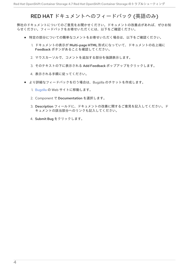## RED HAT ドキュメントへのフィードバック (英語のみ)

<span id="page-7-0"></span>弊社のドキュメントについてのご意見をお聞かせください。ドキュメントの改善点があれば、ぜひお知 らせください。フィードバックをお寄せいただくには、以下をご確認ください。

- 特定の部分についての簡単なコメントをお寄せいただく場合は、以下をご確認ください。
	- 1. ドキュメントの表示が Multi-page HTML 形式になっていて、ドキュメントの右上端に Feedback ボタンがあることを確認してください。
	- 2. マウスカーソルで、コメントを追加する部分を強調表示します。
	- 3. そのテキストの下に表示される Add Feedback ポップアップをクリックします。
	- 4. 表示される手順に従ってください。
- より詳細なフィードバックを行う場合は、Bugzilla のチケットを作成します。
	- 1. [Bugzilla](https://bugzilla.redhat.com/enter_bug.cgi?product=Red Hat OpenShift Container Storage) の Web サイトに移動します。
	- 2. Component で Documentation を選択します。
	- 3. Description フィールドに、ドキュメントの改善に関するご意見を記入してください。ド キュメントの該当部分へのリンクも記入してください。
	- 4. Submit Bug をクリックします。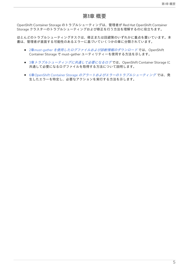### 第1章 概要

<span id="page-8-0"></span>OpenShift Container Storage のトラブルシューティングは、管理者が Red Hat OpenShift Container Storage クラスターのトラブルシューティングおよび修正を行う方法を理解するのに役立ちます。

ほとんどのトラブルシューティングタスクは、修正または回避策のいずれかに重点を置いています。本 書は、管理者が直面する可能性のあるエラーに基づいていくつかの章に分類されています。

- 2章*must-gather [を使用したログファイルおよび診断情報のダウンロード](#page-9-1)では、OpenShift* Container Storage で must-gather ユーティリティーを使用する方法を示します。
- 3章[トラブルシューティングに共通して必要になるログ](#page-12-0)では、OpenShift Container Storage に 共通して必要になるログファイルを取得する方法について説明します。
- 6章OpenShift Container Storage [のアラートおよびエラーのトラブルシューティング](#page-20-0) では、発 生したエラーを特定し、必要なアクションを実行する方法を示します。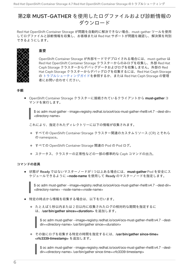## <span id="page-9-1"></span><span id="page-9-0"></span>第2章 MUST-GATHER を使用したログファイルおよび診断情報の ダウンロード

Red Hat OpenShift Container Storage が問題を自動的に解決できない場合、must-gather ツールを使用 してログファイルと診断情報を収集し、お客様または Red Hat サポートが問題を確認し、解決策を判別 できるようにします。



### 重要

OpenShift Container Storage が外部モードでデプロイされる場合には、must-gather は Red Hat OpenShift Container Storage クラスターからのみログを収集し、外部 Red Hat Ceph Storage クラスターからデバッグデータおよびログを収集しません。外部の Red Hat Ceph Storage クラスターからデバッグログを収集するには、Red Hat Ceph Storage の [トラブルシューティングガイドを](https://access.redhat.com/documentation/en-us/red_hat_ceph_storage/4/html-single/troubleshooting_guide/index)参照するか、または Red Hat Ceph Storage の管理 者にお問い合わせください。

#### 手順

● OpenShift Container Storage クラスターに接続されているクライアントから must-gather コ マンドを実行します。

\$ oc adm must-gather --image=registry.redhat.io/ocs4/ocs-must-gather-rhel8:v4.7 --dest-dir= <directory-name>

これにより、指定されたディレクトリーに以下の情報が収集されます。

- すべての OpenShift Container Storage クラスター関連のカスタムリソース (CR) とそれら の namespace。
- すべての OpenShift Container Storage 関連の Pod の Pod ログ。
- ステータス、クラスターの正常性などの一部の標準的な Ceph コマンドの出力。

#### コマンドの差異

● 状態が Ready ではないマスターノードが1つ以上ある場合には、must-gather Pod を安全にス ケジュールできるように **--node-name** を使用して Ready のマスターノードを指定します。

\$ oc adm must-gather --image=registry.redhat.io/ocs4/ocs-must-gather-rhel8:v4.7 --dest-dir= <directory-name> --node-name=<node-name>

- 特定の時点から情報を収集する場合は、以下を行います。
	- たとえば 5 秒以内または 2 日以内に収集されたログの相対的な期間を指定するに は、**/usr/bin/gather since=<duration>** を追加します。

\$ oc adm must-gather --image=registry.redhat.io/ocs4/ocs-must-gather-rhel8:v4.7 --destdir=<directory-name> /usr/bin/gather since=<duration>

その後にログを収集する特定の時間を指定するには、**/usr/bin/gather since-time= <rfc3339-timestamp>** を追加します。

\$ oc adm must-gather --image=registry.redhat.io/ocs4/ocs-must-gather-rhel8:v4.7 --destdir=<directory-name> /usr/bin/gather since-time=<rfc3339-timestamp>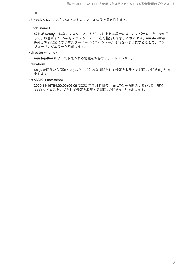#### $\sim$

以下のように、これらのコマンドのサンプルの値を置き換えます。

#### <node-name>

状態が Ready ではないマスターノードが1つ以上ある場合には、このパラメーターを使用 して、状態がまだ Ready のマスターノード名を指定します。これにより、**must-gather** Pod が準備状態にないマスターノードにスケジュールされないようにすることで、スケ ジューリングエラーを回避します。

#### <directory-name>

**must-gather** によって収集される情報を保存するディレクトリー。

<duration>

**5h** (5 時間前から開始する) など、相対的な期間として情報を収集する期間 (の開始点) を指 定します。

<rfc3339-timestamp>

**2020-11-10T04:00:00+00:00** (2020 年 11 月 11 日の 4am UTC から開始する) など、RFC 3339 タイムスタンプとして情報を収集する期間 (の開始点) を指定します。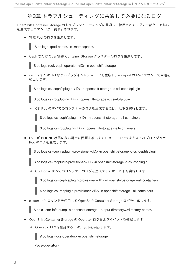## 第3章 トラブルシューティングに共通して必要になるログ

<span id="page-11-0"></span>OpenShift Container Storage のトラブルシューティングに共通して使用されるログの一部と、それら を生成するコマンドが一覧表示されます。

● 特定 Pod のログを生成します。



● Ceph または OpenShift Container Storage クラスターのログを生成します。

\$ oc logs rook-ceph-operator-<ID> -n openshift-storage

cephfs または rbd などのプラグイン Pod のログを生成し、app-pod の PVC マウントで問題を 検出します。

\$ oc logs csi-cephfsplugin-<ID> -n openshift-storage -c csi-cephfsplugin

\$ oc logs csi-rbdplugin-<ID> -n openshift-storage -c csi-rbdplugin

CSI Pod のすべてのコンテナーのログを生成するには、以下を実行します。

\$ oc logs csi-cephfsplugin-<ID> -n openshift-storage --all-containers

\$ oc logs csi-rbdplugin-<ID> -n openshift-storage --all-containers

PVC が BOUND 状態にない場合に問題を検出するために、cephfs または rbd プロビジョナー Pod のログを生成します。

\$ oc logs csi-cephfsplugin-provisioner-<ID> -n openshift-storage -c csi-cephfsplugin

\$ oc logs csi-rbdplugin-provisioner-<ID> -n openshift-storage -c csi-rbdplugin

CSI Pod のすべてのコンテナーのログを生成するには、以下を実行します。

\$ oc logs csi-cephfsplugin-provisioner-<ID> -n openshift-storage --all-containers

\$ oc logs csi-rbdplugin-provisioner-<ID> -n openshift-storage --all-containers

cluster-info コマンドを使用して OpenShift Container Storage ログを生成します。  $\bullet$ 

\$ oc cluster-info dump -n openshift-storage --output-directory=<directory-name>

- OpenShift Container Storage の Operator ログおよびイベントを確認します。
	- Operator ログを確認するには、以下を実行します。

# oc logs <ocs-operator> -n openshift-storage

<ocs-operator>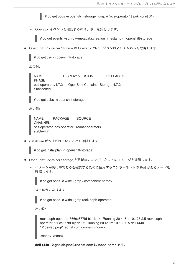<span id="page-12-0"></span># oc get pods -n openshift-storage | grep -i "ocs-operator" | awk '{print \$1}'

Operator イベントを確認するには、以下を実行します。

# oc get events --sort-by=metadata.creationTimestamp -n openshift-storage

OpenShift Container Storage の Operator のバージョンおよびチャネルを取得します。

# oc get csv -n openshift-storage

出力例:

NAME DISPLAY VERSION REPLACES PHASE ocs-operator.v4.7.2 OpenShift Container Storage 4.7.2 Succeeded

# oc get subs -n openshift-storage

出力例:

NAME PACKAGE SOURCE **CHANNEL** ocs-operator ocs-operator redhat-operators stable-4.7

installplan が作成されていることを確認します。

# oc get installplan -n openshift-storage

- OpenShift Container Storage を更新後のコンポーネントのイメージを確認します。
	- イメージが実行中であるを確認するために使用するコンポーネントの Pod があるノードを 確認します。

# oc get pods -o wide | grep <component-name>

以下は例になります。

# oc get pods -o wide | grep rook-ceph-operator

出力例:

rook-ceph-operator-566cc677fd-bjqnb 1/1 Running 20 4h6m 10.128.2.5 rook-cephoperator-566cc677fd-bjqnb 1/1 Running 20 4h6m 10.128.2.5 dell-r440- 12.gsslab.pnq2.redhat.com <none> <none>

<none> <none>

**dell-r440-12.gsslab.pnq2.redhat.com** は node-name です。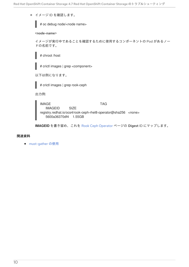イメージ ID を確認します。

# oc debug node/<node name>

#### <node-name>

イメージが実行中であることを確認するために使用するコンポーネントの Pod があるノー ドの名前です。

# chroot /host

# crictl images | grep <component>

以下は例になります。

# crictl images | grep rook-ceph

出力例:

IMAGE TAG IMAGEID SIZE registry.redhat.io/ocs4/rook-ceph-rhel8-operator@sha256 <none> 5600a36370df4 1.55GB

**IMAGEID** を書き留め、これを Rook Ceph [Operator](https://catalog.redhat.com/software/containers/ocs4/rook-ceph-rhel8-operator/5ddef2a7bed8bd164a0afd90?tag=4.7-55.6dba87fd.release_4.7) ページの Digest ID にマップします。

#### 関連資料

● [must-gather](#page-9-1) の使用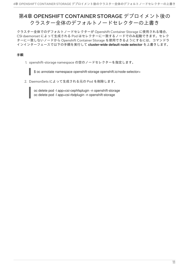## <span id="page-14-0"></span>第4章 OPENSHIFT CONTAINER STORAGE デプロイメント後の クラスター全体のデフォルトノードセレクターの上書き

クラスター全体でのデフォルトノードセレクターが Openshift Container Storage に使用される場合、 CSI daemonset によって生成される Pod はセレクターに一致するノードでのみ起動できます。セレク ターに一致しないノードから Openshift Container Storage を使用できるようにするには、コマンドラ インインターフェースで以下の手順を実行して **cluster-wide default node selector** を上書きします。

### 手順

1. openshift-storage namespace の空のノードセレクターを指定します。

\$ oc annotate namespace openshift-storage openshift.io/node-selector=

2. DaemonSets によって生成される元の Pod を削除します。

oc delete pod -l app=csi-cephfsplugin -n openshift-storage oc delete pod -l app=csi-rbdplugin -n openshift-storage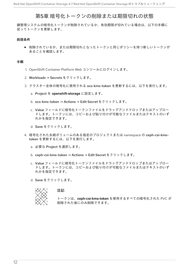## 第5章 暗号化トークンの削除または期限切れの状態

<span id="page-15-0"></span>鍵管理システムの暗号化トークンが削除されているか、有効期限が切れている場合は、以下の手順に 従ってトークンを更新します。

#### 前提条件

● 削除されているか、または期限切れとなったトークンと同じポリシーを持つ新しいトークンが あることを確認します。

#### 手順

- 1. OpenShift Container Platform Web コンソールにログインします。
- 2. Workloads → Secrets をクリックします。
- 3. クラスター全体の暗号化に使用される ocs-kms-token を更新するには、以下を実行します。
	- a. Project を **openshift-storage** に設定します。
	- b. ocs-kms-token → Actions → Edit Secret をクリックします。
	- c. Value フィールドに暗号化トークンファイルをドラッグアンドドロップまたはアップロー ドします。トークンには、コピーおよび貼り付けが可能なファイルまたはテキストのいず れかを指定できます。
	- d. Save をクリックします。
- 4. 暗号化された永続ボリュームのある指定のプロジェクトまたは namespace の ceph-csi-kmstoken を更新するには、以下を実行します。
	- a. 必要な Project を選択します。
	- b. ceph-csi-kms-token → Actions → Edit Secret をクリックします。
	- c. Value フィールドに暗号化トークンファイルをドラッグアンドドロップまたはアップロー ドします。トークンには、コピーおよび貼り付けが可能なファイルまたはテキストのいず れかを指定できます。
	- d. Save をクリックします。



#### 注記

トークンは、**ceph-csi-kms-token** を使用するすべての暗号化された PVC が 削除された後にのみ削除できます。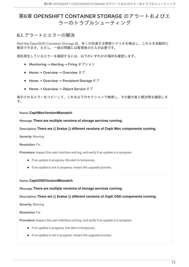## <span id="page-16-0"></span>第6章 OPENSHIFT CONTAINER STORAGE のアラートおよびエ ラーのトラブルシューティング

### <span id="page-16-1"></span>6.1. アラートとエラーの解決

Red Hat OpenShift Container Storage は、多くの共通する障害シナリオを検出し、これらを自動的に 解決できます。ただし、一部の問題には管理者の介入が必要です。

現在発生しているエラーを確認するには、以下のいずれかの場所を確認します。

- Monitoring → Alerting → Firing オプション
- Home → Overview → Overview タブ
- Home → Overview → Persistent Storage タブ
- Home → Overview → Object Service タブ

表示されるエラーをコピーして、これを以下のセクションで検索し、その重大度と解決策を確認しま す。

#### Name: **CephMonVersionMismatch**

Message: **There are multiple versions of storage services running.**

Description: **There are {{ \$value }} different versions of Ceph Mon components running.**

Severity: Warning

Resolution: Fix

Procedure: Inspect the user interface and log, and verify if an update is in progress.

- **•** If an update in progress, this alert is temporary.
- **If an update is not in progress, restart the upgrade process.**

#### Name: **CephOSDVersionMismatch**

Message: **There are multiple versions of storage services running.**

Description: **There are {{ \$value }} different versions of Ceph OSD components running.**

Severity: Warning

Resolution: Fix

Procedure: Inspect the user interface and log, and verify if an update is in progress.

- **If an update in progress, this alert is temporary.**
- **If an update is not in progress, restart the upgrade process.**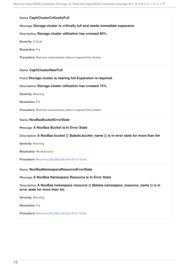#### Name: **CephClusterCriticallyFull**

#### Message:**Storage cluster is critically full and needs immediate expansion**

#### Description:**Storage cluster utilization has crossed 85%.**

Severity: Crtical

Resolution: Fix

Procedure: Remove unnecessary data or expand the cluster.

#### Name: **CephClusterNearFull**

Fixed:**Storage cluster is nearing full.Expansion is required.**

Description:**Storage cluster utilization has crossed 75%.**

Severity: Warning

Resolution: Fix

Procedure: Remove unnecessary data or expand the cluster.

#### Name: **NooBaaBucketErrorState**

Message: **A NooBaa Bucket Is In Error State**

Description: **A NooBaa bucket {{ \$labels.bucket\_name }} is in error state for more than 6m**

Severity: Warning

Resolution: Workaround

Procedure: [Resolving](#page-23-0) NooBaa Bucket Error State

#### Name: **NooBaaNamespaceResourceErrorState**

Message: **A NooBaa Namespace Resource Is In Error State**

Description: **A NooBaa namespace resource {{ \$labels.namespace\_resource\_name }} is in error state for more than 5m**

Severity: Warning

Resolution: Fix

Procedure: [Resolving](#page-23-0) NooBaa Bucket Error State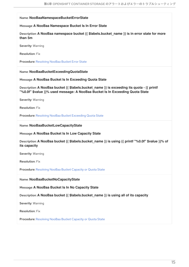#### Name: **NooBaaNamespaceBucketErrorState**

Message: **A NooBaa Namespace Bucket Is In Error State**

Description: **A NooBaa namespace bucket {{ \$labels.bucket\_name }} is in error state for more than 5m**

Severity: Warning

Resolution: Fix

Procedure: [Resolving](#page-23-0) NooBaa Bucket Error State

Name: **NooBaaBucketExceedingQuotaState**

Message: **A NooBaa Bucket Is In Exceeding Quota State**

Description: **A NooBaa bucket {{ \$labels.bucket\_name }} is exceeding its quota - {{ printf "%0.0f" \$value }}% used message: A NooBaa Bucket Is In Exceeding Quota State**

Severity: Warning

Resolution: Fix

Procedure: Resolving NooBaa Bucket [Exceeding](#page-24-0) Quota State

Name: **NooBaaBucketLowCapacityState**

Message: **A NooBaa Bucket Is In Low Capacity State**

Description: **A NooBaa bucket {{ \$labels.bucket\_name }} is using {{ printf "%0.0f" \$value }}% of its capacity**

Severity: Warning

Resolution: Fix

Procedure: [Resolving](#page-24-1) NooBaa Bucket Capacity or Quota State

Name: **NooBaaBucketNoCapacityState**

Message: **A NooBaa Bucket Is In No Capacity State**

Description: **A NooBaa bucket {{ \$labels.bucket\_name }} is using all of its capacity**

Severity: Warning

Resolution: Fix

Procedure: [Resolving](#page-24-1) NooBaa Bucket Capacity or Quota State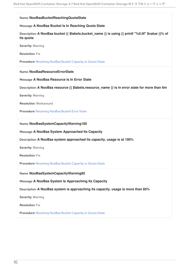#### Name: **NooBaaBucketReachingQuotaState**

#### Message: **A NooBaa Bucket Is In Reaching Quota State**

Description: **A NooBaa bucket {{ \$labels.bucket\_name }} is using {{ printf "%0.0f" \$value }}% of its quota**

Severity: Warning

Resolution: Fix

Procedure: [Resolving](#page-24-1) NooBaa Bucket Capacity or Quota State

Name: **NooBaaResourceErrorState**

Message: **A NooBaa Resource Is In Error State**

Description: **A NooBaa resource {{ \$labels.resource\_name }} is in error state for more than 6m**

Severity: Warning

Resolution: Workaround

Procedure: [Resolving](#page-23-0) NooBaa Bucket Error State

Name: **NooBaaSystemCapacityWarning100**

Message: **A NooBaa System Approached Its Capacity**

Description: **A NooBaa system approached its capacity, usage is at 100%**

Severity: Warning

Resolution: Fix

Procedure: [Resolving](#page-24-1) NooBaa Bucket Capacity or Quota State

Name: **NooBaaSystemCapacityWarning85**

Message: **A NooBaa System Is Approaching Its Capacity**

Description: **A NooBaa system is approaching its capacity, usage is more than 85%**

Severity: Warning

Resolution: Fix

Procedure: [Resolving](#page-24-1) NooBaa Bucket Capacity or Quota State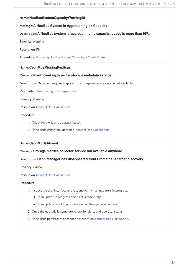#### <span id="page-20-0"></span>Name: **NooBaaSystemCapacityWarning95**

#### Message: **A NooBaa System Is Approaching Its Capacity**

#### Description: **A NooBaa system is approaching its capacity, usage is more than 95%**

Severity: Warning

Resolution: Fix

Procedure: [Resolving](#page-24-1) NooBaa Bucket Capacity or Quota State

#### Name: **CephMdsMissingReplicas**

#### Message: **Insufficient replicas for storage metadata service.**

Description: `Minimum required replicas for storage metadata service not available.

Might affect the working of storage cluster.`

Severity: Warning

Resolution: [Contact](https://access.redhat.com/support) Red Hat support

#### Procedure:

- 1. Check for alerts and operator status.
- 2. If the issue cannot be identified, [contact](https://access.redhat.com/support) Red Hat support.

#### Name: **CephMgrIsAbsent**

Message:**Storage metrics collector service not available anymore.**

#### Description: **Ceph Manager has disappeared from Prometheus target discovery.**

Severity: Critical

Resolution: [Contact](https://access.redhat.com/support) Red Hat support

#### Procedure:

- 1. Inspect the user interface and log, and verify if an update is in progress.
	- If an update in progress, this alert is temporary.
	- If an update is not in progress, restart the upgrade process.
- 2. Once the upgrade is complete, check for alerts and operator status.
- 3. If the issue persistents or cannot be identified, contact Red Hat [support.](https://access.redhat.com/support)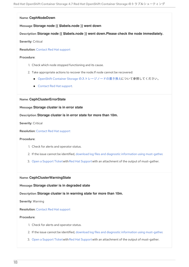#### Name: **CephNodeDown**

#### Message:**Storage node {{ \$labels.node }} went down**

#### Description:**Storage node {{ \$labels.node }} went down.Please check the node immediately.**

Severity: Critical

Resolution: [Contact](https://access.redhat.com/support) Red Hat support

#### Procedure:

- 1. Check which node stopped functioning and its cause.
- 2. Take appropriate actions to recover the node.If node cannot be recovered:
	- OpenShift Container Storage [のストレージノードの置き換え](https://access.redhat.com/documentation/en-us/red_hat_openshift_container_storage/4.7/html-single/replacing_nodes/index)について参照してください。
	- [Contact](https://access.redhat.com/support) Red Hat support.

#### Name: **CephClusterErrorState**

#### Message:**Storage cluster is in error state**

Description:**Storage cluster is in error state for more than 10m.**

Severity: Critical

#### Resolution: [Contact](https://access.redhat.com/support) Red Hat support

#### Procedure:

- 1. Check for alerts and operator status.
- 2. If the issue cannot be identified, download log files and diagnostic information using [must-gather](#page-9-1).
- 3. Open a [Support](https://access.redhat.com/support) Ticket with Red Hat Support with an attachment of the output of must-gather.

Name: **CephClusterWarningState**

Message:**Storage cluster is in degraded state**

Description:**Storage cluster is in warning state for more than 10m.**

Severity: Warning

#### Resolution: [Contact](https://access.redhat.com/support) Red Hat support

#### Procedure:

- 1. Check for alerts and operator status.
- 2. If the issue cannot be identified, download log files and diagnostic information using [must-gather](#page-9-1).
- 3. Open a [Support](https://access.redhat.com/support) Ticket with Red Hat Support with an attachment of the output of must-gather.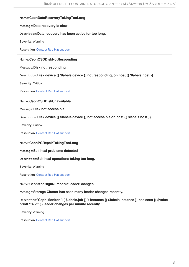#### Name: **CephDataRecoveryTakingTooLong**

Message: **Data recovery is slow**

Description: **Data recovery has been active for too long.**

Severity: Warning

Resolution: [Contact](https://access.redhat.com/support) Red Hat support

Name: **CephOSDDiskNotResponding**

Message: **Disk not responding**

Description: **Disk device {{ \$labels.device }} not responding, on host {{ \$labels.host }}.**

Severity: Critical

Resolution: [Contact](https://access.redhat.com/support) Red Hat support

Name: **CephOSDDiskUnavailable**

Message: **Disk not accessible**

Description: **Disk device {{ \$labels.device }} not accessible on host {{ \$labels.host }}.**

Severity: Critical

Resolution: [Contact](https://access.redhat.com/support) Red Hat support

Name: **CephPGRepairTakingTooLong**

Message:**Self heal problems detected**

Description:**Self heal operations taking too long.**

Severity: Warning

Resolution: [Contact](https://access.redhat.com/support) Red Hat support

#### Name: **CephMonHighNumberOfLeaderChanges**

Message:**Storage Cluster has seen many leader changes recently.**

Description: **'Ceph Monitor "{{ \$labels.job }}": instance {{ \$labels.instance }} has seen {{ \$value printf "%.2f" }} leader changes per minute recently.'**

Severity: Warning

Resolution: [Contact](https://access.redhat.com/support) Red Hat support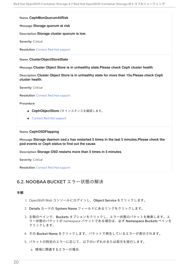Name: **CephMonQuorumAtRisk**

Message:**Storage quorum at risk**

Description:**Storage cluster quorum is low.**

Severity: Critical

Resolution: [Contact](https://access.redhat.com/support) Red Hat support

Name: **ClusterObjectStoreState**

Message: **Cluster Object Store is in unhealthy state.Please check Ceph cluster health**.

Description: **Cluster Object Store is in unhealthy state for more than 15s.Please check Ceph cluster health**.

Severity: Critical

Resolution: [Contact](https://access.redhat.com/support) Red Hat support

Procedure:

- **CephObjectStore** CR インスタンスを確認します。
- [Contact](https://access.redhat.com/support) Red Hat support.

Name: **CephOSDFlapping**

Message:**Storage daemon osd.x has restarted 5 times in the last 5 minutes.Please check the pod events or Ceph status to find out the cause**.

Description:**Storage OSD restarts more than 5 times in 5 minutes**.

Severity: Critical

Resolution: [Contact](https://access.redhat.com/support) Red Hat support

### <span id="page-23-0"></span>6.2. NOOBAA BUCKET エラー状態の解決

#### 手順

- 1. OpenShift Web コンソールにログインし、Object Serviceをクリックします。
- 2. Details カードの System Name フィールドにあるリンクをクリックします。
- 3. 左側のペインで、Buckets オプションをクリックし、エラー状態のバケットを検索します。エ ラー状態のバケットが namespace バケットである場合は、必ず Namespace Buckets ペインを クリックします。
- 4. その Bucket Name をクリックします。バケットで発生しているエラーが表示されます。
- 5. バケットの特定のエラーに応じて、以下のいずれかまたは両方を実行します。

a. 領域に関連するエラーの場合: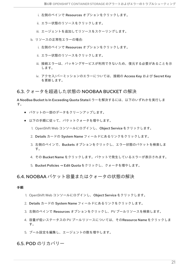- i. 左側のペインで Resources オプションをクリックします。
- ii. エラー状態のリソースをクリックします。
- iii. エージェントを追加してリソースをスケーリングします。
- b. リソースの正常性エラーの場合:
	- i. 左側のペインで Resources オプションをクリックします。
	- ii. エラー状態のリソースをクリックします。
	- iii. 接続エラーは、バッキングサービスが利用できないため、復元する必要があることを示 します。
	- iv. アクセス/パーミッションのエラーについては、接続の Access Key および Secret Key を更新します。

#### <span id="page-24-0"></span>6.3. クォータを超過した状態の NOOBAA BUCKET の解決

A NooBaa Bucket Is In Exceeding Quota Stateエラーを解決するには、以下のいずれかを実行しま す。

- バケットの一部のデータをクリーンアップします。
- 以下の手順に従って、バケットクォータを増やします。
	- 1. OpenShift Web コンソールにログインし、Object Serviceをクリックします。
	- 2. Details カードの System Name フィールドにあるリンクをクリックします。
	- 3. 左側のペインで、Buckets オプションをクリックし、エラー状態のバケットを検索しま す。
	- 4. その Bucket Name をクリックします。バケットで発生しているエラーが表示されます。
	- 5. Bucket Policies → Edit Quotaをクリックし、クォータを増やします。

#### <span id="page-24-1"></span>6.4. NOOBAA バケット容量またはクォータの状態の解決

#### 手順

- 1. OpenShift Web コンソールにログインし、Object Serviceをクリックします。
- 2. Details カードの System Name フィールドにあるリンクをクリックします。
- 3. 左側のペインで Resources オプションをクリックし、PV プールリソースを検索します。
- 4. 容量が低いステータスの PV プールリソースについては、そのResource Nameをクリックしま す。
- 5. プール設定を編集し、エージェントの数を増やします。

<span id="page-24-2"></span>6.5. POD のリカバリー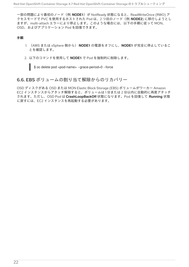一部の問題により最初のノード(例: **NODE1**)が NotReady 状態になると、ReadWriteOnce (RWO) ア クセスモードで PVC を使用するホストされた Pod は、2 つ目のノード(例: **NODE2**) に移行しようとし ますが、multi-attach エラーにより停止します。このような場合には、以下の手順に従って MON、 OSD、およびアプリケーション Pod を回復できます。

#### 手順

- 1. (AWS または vSphere 側から) **NODE1** の電源をオフにし、**NODE1** が完全に停止しているこ とを確認します。
- 2. 以下のコマンドを使用して **NODE1** で Pod を強制的に削除します。



\$ oc delete pod <pod-name> --grace-period=0 --force

### <span id="page-25-0"></span>6.6. EBS ボリュームの割り当て解除からのリカバリー

OSD ディスクがある OSD または MON Elastic Block Storage (EBS) ボリュームがワーカー Amazon EC2 インスタンスからアタッチ解除すると、ボリュームは1分または2分以内に自動的に再度アタッチ されます。ただし、OSD Pod は **CrashLoopBackOff** 状態になります。Pod を回復して **Running** 状態 に戻すには、EC2 インスタンスを再起動する必要があります。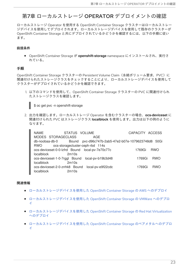## <span id="page-26-0"></span>第7章 ローカルストレージ OPERATOR デプロイメントの確認

ローカルストレージ Operator を使用する OpenShift Container Storage クラスターはローカルストレー ジデバイスを使用してデプロイされます。ローカルストレージデバイスを使用して既存のクラスターが OpenShift Container Storage と共にデプロイされているかどうかを確認するには、以下の手順に従い ます。

#### 前提条件

● OpenShift Container Storage が openshift-storage namespace にインストールされ、実行さ れている。

#### 手順

OpenShift Container Storage クラスターの Persistent Volume Claim (永続ボリューム要求、PVC)に 関連付けられたストレージクラスをチェックすることにより、ローカルストレージデバイスを使用して クラスターがデプロイされているかどうかを確認できます。

1. 以下のコマンドを使用して、OpenShift Container Storage クラスターの PVC に関連付けられ たストレージクラスを確認します。

\$ oc get pvc -n openshift-storage

2. 出力を確認します。ローカルストレージ Operator を含むクラスターの場合、**ocs-deviceset** に 関連付けられた PVC はストレージクラス **localblock** を使用します。出力は以下の例のように なります。

| <b>NAME</b><br>STATUS VOLUME                    | CAPACITY ACCESS                                     |
|-------------------------------------------------|-----------------------------------------------------|
| MODES STORAGECLASS<br>AGE                       |                                                     |
| db-noobaa-db-0                                  | Bound pvc-d96c747b-2ab5-47e2-b07e-1079623748d8 50Gi |
| ocs-storagecluster-ceph-rbd 114s<br>RWO         |                                                     |
| ocs-deviceset-0-0-lzfrd Bound local-pv-7e70c77c | 1769Gi<br><b>RWO</b>                                |
| localblock<br>2m10s                             |                                                     |
| ocs-deviceset-1-0-7rggl Bound local-pv-b19b3d48 | <b>RWO</b><br>1769Gi                                |
| <b>localblock</b><br>2m10s                      |                                                     |
| ocs-deviceset-2-0-znhk8 Bound local-pv-e9f22cdc | <b>RWO</b><br>1769Gi                                |
| <b>localblock</b><br>2m10s                      |                                                     |

#### 関連情報

- [ローカルストレージデバイスを使用した](https://access.redhat.com/documentation/en-us/red_hat_openshift_container_storage/4.7/html-single/deploying_openshift_container_storage_using_amazon_web_services/index#deploy-using-local-storage-devices-aws) OpenShift Container Storage の AWS へのデプロイ
- [ローカルストレージデバイスを使用した](https://access.redhat.com/documentation/en-us/red_hat_openshift_container_storage/4.7/html-single/deploying_openshift_container_storage_on_vmware_vsphere/index#deploy-using-local-storage-devices-vmware) OpenShift Container Storage の VMWare へのデプロ  $\bullet$ イ
- [ローカルストレージデバイスを使用した](https://access.redhat.com/documentation/en-us/red_hat_openshift_container_storage/4.7/html-single/deploying_openshift_container_storage_using_red_hat_virtualization_platform/index#deploy-using-local-storage-devices-rhv) OpenShift Container Storage の Red Hat Virtualization へのデプロイ
- [ローカルストレージデバイスを使用した](https://access.redhat.com/documentation/en-us/red_hat_openshift_container_storage/4.7/html-single/deploying_openshift_container_storage_using_bare_metal_infrastructure/index#deploy-using-local-storage-devices-bmrhv) OpenShift Container Storage のベアメタルへのデプロ イ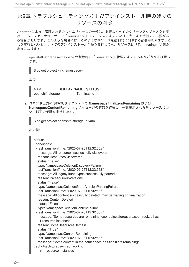## <span id="page-27-0"></span>第8章 トラブルシューティングおよびアンインストール時の残りの リソースの削除

Operator によって管理されるカスタムリソースの一部は、必要なすべてのクリーンアップタスクを実 行しても、ファイナライザーで「Terminating」ステータスのままになり、完了まで待機する必要があ る場合があります。このような場合には、このようなリソースを強制的に削除する必要があります。こ れを実行しないと、すべてのアンインストール手順を実行しても、リソースは「Terminating」状態の ままになります。

1. openshift-storage namespace が削除時に「Terminating」状態のままであるかどうかを確認し ます。

\$ oc get project -n <namespace>

出力:

NAME DISPLAY NAME STATUS openshift-storage Terminating

2. コマンド出力の **STATUS** セクションで **NamespaceFinalizersRemaining** および **NamespaceContentRemaining** メッセージの有無を確認し、一覧表示される各リソースにつ いて以下の手順を実行します。

\$ oc get project openshift-storage -o yaml

出力例:

| status:<br>conditions:<br>- lastTransitionTime: "2020-07-26T12:32:56Z"<br>message: All resources successfully discovered<br>reason: ResourcesDiscovered<br>status: "False"<br>type: NamespaceDeletionDiscoveryFailure<br>- lastTransitionTime: "2020-07-26T12:32:56Z"<br>message: All legacy kube types successfully parsed<br>reason: ParsedGroupVersions<br>status: "False"<br>type: NamespaceDeletionGroupVersionParsingFailure<br>- lastTransitionTime: "2020-07-26T12:32:56Z"<br>message: All content successfully deleted, may be waiting on finalization<br>reason: ContentDeleted<br>status: "False"<br>type: NamespaceDeletionContentFailure<br>- lastTransitionTime: "2020-07-26T12:32:56Z"<br>message: 'Some resources are remaining: cephobjectstoreusers.ceph.rook.io has<br>1 resource instances'<br>reason: SomeResourcesRemain<br>status: "True"<br>type: NamespaceContentRemaining<br>- lastTransitionTime: "2020-07-26T12:32:56Z" |  |
|-----------------------------------------------------------------------------------------------------------------------------------------------------------------------------------------------------------------------------------------------------------------------------------------------------------------------------------------------------------------------------------------------------------------------------------------------------------------------------------------------------------------------------------------------------------------------------------------------------------------------------------------------------------------------------------------------------------------------------------------------------------------------------------------------------------------------------------------------------------------------------------------------------------------------------------------------------|--|
| message: 'Some content in the namespace has finalizers remaining:<br>cephobjectstoreuser.ceph.rook.io                                                                                                                                                                                                                                                                                                                                                                                                                                                                                                                                                                                                                                                                                                                                                                                                                                               |  |
| in 1 resource instances'                                                                                                                                                                                                                                                                                                                                                                                                                                                                                                                                                                                                                                                                                                                                                                                                                                                                                                                            |  |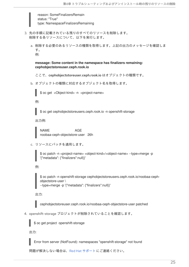reason: SomeFinalizersRemain status: "True" type: NamespaceFinalizersRemaining

- 3. 先の手順に記載されている残りのすべてのリソースを削除します。 削除する各リソースについて、以下を実行します。
	- a. 削除する必要のあるリソースの種類を取得します。上記の出力のメッセージを確認しま す。 例:

**message: Some content in the namespace has finalizers remaining: cephobjectstoreuser.ceph.rook.io**

ここで、cephobjectstoreuser.ceph.rook.io はオブジェクトの種類です。

b. オブジェクトの種類に対応するオブジェクト名を取得します。

\$ oc get <Object-kind> -n <project-name>

例:

\$ oc get cephobjectstoreusers.ceph.rook.io -n openshift-storage

出力例:

NAME AGE noobaa-ceph-objectstore-user 26h

c. リソースにパッチを適用します。

\$ oc patch -n <project-name> <object-kind>/<object-name> --type=merge -p '{"metadata": {"finalizers":null}}'

例:

\$ oc patch -n openshift-storage cephobjectstoreusers.ceph.rook.io/noobaa-cephobjectstore-user \ --type=merge -p '{"metadata": {"finalizers":null}}'

出力:

cephobjectstoreuser.ceph.rook.io/noobaa-ceph-objectstore-user patched

4. openshift-storage プロジェクトが削除されていることを確認します。

\$ oc get project openshift-storage

出力:

Error from server (NotFound): namespaces "openshift-storage" not found

問題が解決しない場合は、Red Hat [サポートに](https://access.redhat.com/support)ご連絡ください。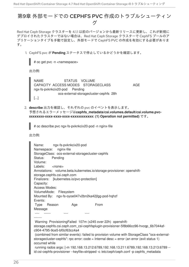## <span id="page-29-0"></span>第9章 外部モードでの CEPHFS PVC 作成のトラブルシューティン グ

Red Hat Ceph Storage クラスターを 4.1.1 以前のバージョンから最新リリースに更新し、これが新規に デプロイされたクラスターではない場合は、Red Hat Ceph Storage クラスターで CephFS プールのア プリケーションタイプを手動で設定し、外部モードで CephFS PVC の作成を有効にする必要がありま す。

1. CephFS pvc が **Pending** ステータスで停止しているかどうかを確認します。



# oc get pvc -n <namespace>

出力例:

NAME STATUS VOLUME CAPACITY ACCESS MODES STORAGECLASS AGE ngx-fs-pxknkcix20-pod Pending ocs-external-storagecluster-cephfs 28h [...]

2. **describe** 出力を確認し、それぞれの pvc のイベントを表示します。 予想されるエラーメッセージは**cephfs\_metadata/csi.volumes.default/csi.volume.pvcxxxxxxxx-xxxx-xxxx-xxxx-xxxxxxxxxxxx: (1) Operation not permitted)** です。

# oc describe pvc ngx-fs-pxknkcix20-pod -n nginx-file

出力例:

| Name: ngx-fs-pxknkcix20-pod                                                                 |
|---------------------------------------------------------------------------------------------|
| Namespace: nginx-file                                                                       |
| StorageClass: ocs-external-storagecluster-cephfs                                            |
| Status:<br>Pending                                                                          |
| Volume:                                                                                     |
| Labels:<br>$<$ none $>$                                                                     |
| Annotations: volume.beta.kubernetes.io/storage-provisioner: openshift-                      |
| storage.cephfs.csi.ceph.com                                                                 |
| Finalizers: [kubernetes.io/pvc-protection]                                                  |
| Capacity:                                                                                   |
| Access Modes:                                                                               |
| VolumeMode: Filesystem                                                                      |
| Mounted By: ngx-fs-oyoe047v2bn2ka42jfgg-pod-hqhzf                                           |
| Events:                                                                                     |
| From<br>Type<br>Age<br>Reason                                                               |
| Message                                                                                     |
|                                                                                             |
|                                                                                             |
| Warning ProvisioningFailed 107m (x245 over 22h) openshift-                                  |
| storage.cephfs.csi.ceph.com_csi-cephfsplugin-provisioner-5f8b66cc96-hvcqp_6b7044af-         |
| c904-4795-9ce5-bf0cf63cc4a4                                                                 |
| (combined from similar events): failed to provision volume with StorageClass "ocs-external- |
| storagecluster-cephfs": rpc error: code = Internal desc = error (an error (exit status 1)   |
| occurred while                                                                              |
| running rados args: [-m 192.168.13.212:6789,192.168.13.211:6789,192.168.13.213:6789 --      |
| id csi-cephfs-provisioner --keyfile=stripped -c /etc/ceph/ceph.conf -p cephfs_metadata      |
|                                                                                             |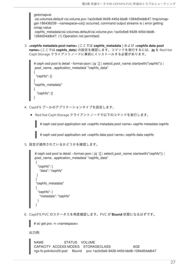getomapval

}

csi.volumes.default csi.volume.pvc-1ac0c6e6-9428-445d-bbd6-1284d54ddb47 /tmp/omapget-186436239 --namespace=csi]) occurred, command output streams is ( error getting omap value

cephfs\_metadata/csi.volumes.default/csi.volume.pvc-1ac0c6e6-9428-445d-bbd6- 1284d54ddb47: (1) Operation not permitted)

3. **<cephfs metadata pool name>** (ここでは **cephfs\_metadata** ) および **<cephfs data pool name>** (ここでは **cephfs\_data**) の設定を確認します。コマンドを実行するには、**jq** を Red Hat Ceph Storage クライアントノードに事前にインストールする必要があります。

```
# ceph osd pool ls detail --format=json | jq '.[] | select(.pool_name| startswith("cephfs")) |
.pool_name, .application_metadata' "cephfs_data"
{
 "cephfs": {}
}
"cephfs_metadata"
{
  "cephfs": {}
```
- 4. CephFS プールのアプリケーションタイプを設定します。
	- Red Hat Ceph Storage クライアントノードで以下のコマンドを実行します。

# ceph osd pool application set <cephfs metadata pool name> cephfs metadata cephfs

# ceph osd pool application set <cephfs data pool name> cephfs data cephfs

5. 設定が適用されているかどうかを確認します。

```
# ceph osd pool ls detail --format=json | jq '.[] | select(.pool_name| startswith("cephfs")) |
.pool_name, .application_metadata' "cephfs_data"
 {
  "cephfs": {
   "data": "cephfs"
  }
 }
 "cephfs_metadata"
 {
  "cephfs": {
   "metadata": "cephfs"
  }
}
```
6. CephFS PVC のステータスを再度確認します。PVC が **Bound** 状態になるはずです。

# oc get pvc -n <namespace>

出力例:

NAME STATUS VOLUME CAPACITY ACCESS MODES STORAGECLASS AGE ngx-fs-pxknkcix20-pod Bound pvc-1ac0c6e6-9428-445d-bbd6-1284d54ddb47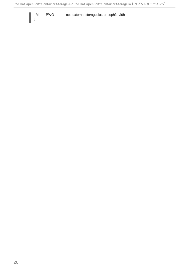[...]

1Mi RWO ocs-external-storagecluster-cephfs 29h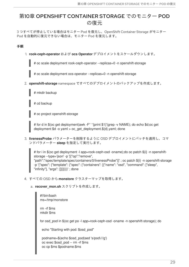## <span id="page-32-0"></span>第10章 OPENSHIFT CONTAINER STORAGE でのモニター POD の復元

3 つすべてが停止している場合はモニター Pod を復元し、OpenShift Container Storage がモニター Pod を自動的に復元できない場合は、モニター Pod を復元します。

#### 手順

1. **rook-ceph-operator** および **ocs Operator** デプロイメントをスケールダウンします。

# oc scale deployment rook-ceph-operator --replicas=0 -n openshift-storage

# oc scale deployment ocs-operator --replicas=0 -n openshift-storage

2. **openshift-storage** namespace ですべてのデプロイメントのバックアップを作成します。

# mkdir backup

# cd backup

# oc project openshift-storage

# for d in \$(oc get deployment|awk -F' ' '{print \$1}'|grep -v NAME); do echo \$d;oc get deployment \$d -o yaml > oc\_get\_deployment.\${d}.yaml; done

3. **livenessProbe** パラメーターを削除するように OSD デプロイメントにパッチを適用し、コマ ンドパラメーター **sleep** を指定して実行します。

# for i in \$(oc get deployment -l app=rook-ceph-osd -oname);do oc patch \${i} -n openshiftstorage --type='json' -p '[{"op":"remove", "path":"/spec/template/spec/containers/0/livenessProbe"}]' ; oc patch \${i} -n openshift-storage -p '{"spec": {"template": {"spec": {"containers": [{"name": "osd", "command": ["sleep", "infinity"], "args": []}]}}}}' ; done

4. すべての OSD から **monstore** クラスターマップを取得します。

a. **recover mon.sh** スクリプトを作成します。

#!/bin/bash ms=/tmp/monstore

rm -rf \$ms mkdir \$ms

for osd pod in \$(oc get po -l app=rook-ceph-osd -oname -n openshift-storage); do

echo "Starting with pod: \$osd\_pod"

podname=\$(echo \$osd\_pod|sed 's/pod\///g') oc exec \$osd\_pod -- rm -rf \$ms oc cp \$ms \$podname:\$ms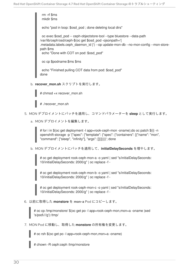rm -rf \$ms mkdir \$ms

echo "pod in loop: \$osd\_pod ; done deleting local dirs"

oc exec \$osd\_pod -- ceph-objectstore-tool --type bluestore --data-path /var/lib/ceph/osd/ceph-\$(oc get \$osd\_pod -ojsonpath='{ .metadata.labels.ceph\_daemon\_id }') --op update-mon-db --no-mon-config --mon-storepath \$ms

echo "Done with COT on pod: \$osd\_pod"

oc cp \$podname:\$ms \$ms

echo "Finished pulling COT data from pod: \$osd\_pod" done

b. **recover\_mon.sh** スクリプトを実行します。

# chmod +x recover\_mon.sh

- # ./recover\_mon.sh
- 5. MON デプロイメントにパッチを適用し、コマンドパラメーターを **sleep** として実行します。
	- a. MON デプロイメントを編集します。

# for i in \$(oc get deployment -l app=rook-ceph-mon -oname);do oc patch \${i} -n openshift-storage -p '{"spec": {"template": {"spec": {"containers": [{"name": "mon", "command": ["sleep", "infinity"], "args": []}]}}}}'; done

b. MON デプロイメントにパッチを適用して、**initialDelaySeconds** を増やします。

# oc get deployment rook-ceph-mon-a -o yaml | sed "s/initialDelaySeconds: 10/initialDelaySeconds: 2000/g" | oc replace -f -

# oc get deployment rook-ceph-mon-b -o yaml | sed "s/initialDelaySeconds: 10/initialDelaySeconds: 2000/g" | oc replace -f -

# oc get deployment rook-ceph-mon-c -o yaml | sed "s/initialDelaySeconds: 10/initialDelaySeconds: 2000/g" | oc replace -f -

6. 以前に取得した **monstore** を mon-a Pod にコピーします。

# oc cp /tmp/monstore/ \$(oc get po -l app=rook-ceph-mon,mon=a -oname |sed 's/pod\///g'):/tmp/

7. MON Pod に移動し、取得した **monstore** の所有権を変更します。

# oc rsh \$(oc get po -l app=rook-ceph-mon,mon=a -oname)

# chown -R ceph:ceph /tmp/monstore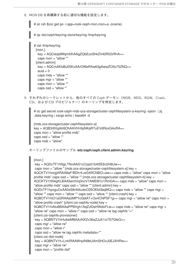8. MON DB を再構築する前に適切な機能を設定します。

# oc rsh \$(oc get po -l app=rook-ceph-mon,mon=a -oname)

# cp /etc/ceph/keyring-store/keyring /tmp/keyring

```
# cat /tmp/keyring
 [mon.]
  key = AQCleqldWqm5IhAAgZQbEzoShkZV42RiQVffnA==
  caps mon = "allow *"
 [client.admin]
  key = AQCmAKld8J05KxAArOWeRAw63gAwwZO5o75ZNQ==
  auid = 0caps mds = "allow *"
  caps mgr = "allow *"
  caps mon = "allow *"
  caps osd = "allow **
```
9. それぞれのシークレットから、他のすべての Ceph デーモン(MGR、MDS、RGW、Crash、 CSI、および CSI プロビジョナー)のキーリングを特定します。

# oc get secret rook-ceph-mds-ocs-storagecluster-cephfilesystem-a-keyring -ojson | jq .data.keyring | xargs echo | base64 -d

```
[mds.ocs-storagecluster-cephfilesystem-a]
key = AQB3r8VgAtr6OhAAVhhXpNKqRTuEVdRoxG4uRA==
caps mon = "allow profile mds"
caps osd = "allow **caps mds = "allow"
```

```
キーリングファイルのサンプル /etc/ceph/ceph.client.admin.keyring:
```

```
[mon.]
key = AQDxTF1hNgLTNxAAi51cCojs01b4I5E6v2H8Uw==
caps mon = "allow " [mds.ocs-storagecluster-cephfilesystem-a] key =
AQCKTV1horgjARAA8aF/BDh/4+eG4RCNBCl+aw== caps mds = "allow" caps mon = "allow
profile mds" caps osd = "allow *" [mds.ocs-storagecluster-cephfilesystem-b] key =
AQCKTV1hN4gKLBAA5emIVq3ncV7AMEM1c1RmGA== caps mds = "allow" caps mon =
"allow profile mds" caps osd = "allow *" [client.admin] key =
AQDxTF1hpzguOxAA0sS8nN4udoO35OEbt3bqMQ== caps mds = "allow *" caps mgr =
"allow *" caps mon = "allow *" caps osd = "allow *" [client.crash] key =
AQBOTV1htO1aGRAAe2MPYcGdiAT+Oo4CNPSF1g== caps mgr = "allow rw" caps mon =
"allow profile crash" [client.csi-cephfs-node] key =
AQBOTV1hiAtuBBAAaPPBVgh1AqZJlDeHWdoFLw== caps mds = "allow rw" caps mgr =
"allow rw" caps mon = "allow r" caps osd = "allow rw tag cephfs * = "[client.csi-cephfs-provisioner]
key = AQBNTV1hHu6wMBAAzNXZv36aZJuE1iz7S7GfeQ==
caps mgr = "allow rw"
caps mon = "allow r"
caps osd = "allow rw tag cephfs metadata=*"
[client.csi-rbd-node]
key = AQBNTV1h+LnkIRAAWnpIN9bUAmSHOvJ0EJXHRw==
caps mgr = "allow rw"
caps mon = "profile rbd"
```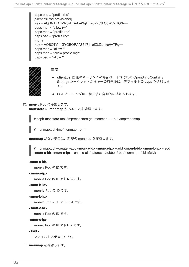caps osd = "profile rbd" [client.csi-rbd-provisioner] key = AQBNTV1hMNcsExAAvA3gHB2qaY33LOdWCvHG/A== caps mgr = "allow rw" caps mon = "profile rbd" caps osd = "profile rbd" [mgr.a] key = AQBOTV1hGYOEORAA87471+eIZLZtptfkcHvTRg== caps  $mds = "allow'$ caps mon = "allow profile mgr" caps  $osd = "allow'$ 



### 重要

- **client.csi** 関連のキーリングの場合は、それぞれの OpenShift Container Storage シークレットからキーの取得後に、デフォルトの **caps** を追加しま す。
- OSD キーリングは、復元後に自動的に追加されます。
- 10. mon-a Pod に移動します。 **monstore** に **monmap** があることを確認します。

# ceph-monstore-tool /tmp/monstore get monmap -- --out /tmp/monmap

# monmaptool /tmp/monmap --print

**monmap** がない場合は、新規の monmap を作成します。

# monmaptool --create --add **<mon-a-id> <mon-a-ip>** --add **<mon-b-id> <mon-b-ip>** --add **<mon-c-id> <mon-c-ip>** --enable-all-features --clobber /root/monmap --fsid **<fsid>**

#### **<mon-a-id>**

mon-a Pod の ID です。

#### **<mon-a-ip>**

mon-a Pod の IP アドレスです。

#### **<mon-b-id>**

mon-b Pod の ID です。

#### **<mon-b-ip>**

mon-b Pod の IP アドレスです。

#### **<mon-c-id>**

mon-c Pod の ID です。

#### **<mon-c-ip>**

mon-c Pod の IP アドレスです。

#### **<fsid>**

ファイルシステム ID です。

11. **monmap** を確認します。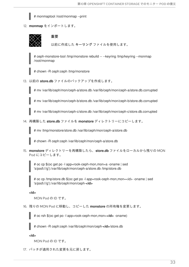

12. **monmap** をインポートします。



### 重要

以前に作成した キーリング ファイルを使用します。

# ceph-monstore-tool /tmp/monstore rebuild -- --keyring /tmp/keyring --monmap /root/monmap

# chown -R ceph:ceph /tmp/monstore

13. 以前の **store.db** ファイルのバックアップを作成します。

# mv /var/lib/ceph/mon/ceph-a/store.db /var/lib/ceph/mon/ceph-a/store.db.corrupted

# mv /var/lib/ceph/mon/ceph-b/store.db /var/lib/ceph/mon/ceph-b/store.db.corrupted

# mv /var/lib/ceph/mon/ceph-c/store.db /var/lib/ceph/mon/ceph-c/store.db.corrupted

14. 再構築した **store.db** ファイルを **monstore** ディレクトリーにコピーします。

# mv /tmp/monstore/store.db /var/lib/ceph/mon/ceph-a/store.db

# chown -R ceph:ceph /var/lib/ceph/mon/ceph-a/store.db

15. **monstore** ディレクトリーを再構築したら、**store.db** ファイルをローカルから残りの MON Pod にコピーします。

# oc cp \$(oc get po -l app=rook-ceph-mon,mon=a -oname | sed 's/pod\///g'):/var/lib/ceph/mon/ceph-a/store.db /tmp/store.db

# oc cp /tmp/store.db \$(oc get po -l app=rook-ceph-mon,mon=<id> -oname | sed 's/pod\///g'):/var/lib/ceph/mon/ceph-**<id>**

#### **<id>**

MON Pod の ID です。

16. 残りの MON Pod に移動し、コピーした **monstore** の所有権を変更します。

# oc rsh \$(oc get po -l app=rook-ceph-mon,mon=**<id>** -oname)

# chown -R ceph:ceph /var/lib/ceph/mon/ceph-**<id>**/store.db

**<id>**

MON Pod の ID です。

17. パッチが適用された変更を元に戻します。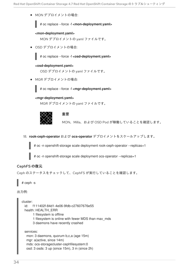● MON デプロイメントの場合:

# oc replace --force -f **<mon-deployment.yaml>**

#### **<mon-deployment.yaml>**

MON デプロイメントの yaml ファイルです。

OSD デプロイメントの場合:

# oc replace --force -f **<osd-deployment.yaml>**

#### **<osd-deployment.yaml>**

OSD デプロイメントの yaml ファイルです。

● MGR デプロイメントの場合:

# oc replace --force -f **<mgr-deployment.yaml>**

#### **<mgr-deployment.yaml>**

MGR デプロイメントの yaml ファイルです。



#### 重要

MON、Milla、および OSD Pod が稼働していることを確認します。

18. **rook-ceph-operator** および **ocs-operator** デプロイメントをスケールアップします。

# oc -n openshift-storage scale deployment rook-ceph-operator --replicas=1

# oc -n openshift-storage scale deployment ocs-operator --replicas=1

### CephFS の復元

Ceph のステータスをチェックして、CephFS が実行していることを確認します。

# ceph -s

出力例:

```
cluster:
 id: f111402f-84d1-4e06-9fdb-c27607676e55
 health: HEALTH_ERR
       1 filesystem is offline
       1 filesystem is online with fewer MDS than max_mds
       3 daemons have recently crashed
 services:
```

```
mon: 3 daemons, quorum b,c,a (age 15m)
mgr: a(active, since 14m)
mds: ocs-storagecluster-cephfilesystem:0
osd: 3 osds: 3 up (since 15m), 3 in (since 2h)
```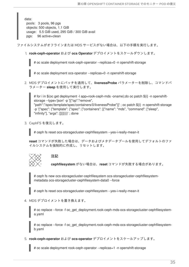data: pools: 3 pools, 96 pgs objects: 500 objects, 1.1 GiB usage: 5.5 GiB used, 295 GiB / 300 GiB avail pgs: 96 active+clean

ファイルシステムがオフラインまたは MDS サービスがない場合は、以下の手順を実行します。

1. **rook-ceph-operator** および **ocs Operator** デプロイメントをスケールダウンします。

# oc scale deployment rook-ceph-operator --replicas=0 -n openshift-storage

# oc scale deployment ocs-operator --replicas=0 -n openshift-storage

2. MDS デプロイメントにパッチを適用して、**livenessProbe** パラメーターを削除し、コマンドパ ラメーター **sleep** を使用して実行します。

# for i in \$(oc get deployment -l app=rook-ceph-mds -oname);do oc patch \${i} -n openshiftstorage --type='json' -p '[{"op":"remove", "path":"/spec/template/spec/containers/0/livenessProbe"}]' ; oc patch \${i} -n openshift-storage -p '{"spec": {"template": {"spec": {"containers": [{"name": "mds", "command": ["sleep", "infinity"], "args": []}]}}}}' ; done

3. CephFS を復元します。

# ceph fs reset ocs-storagecluster-cephfilesystem --yes-i-really-mean-it

**reset** コマンドが失敗した場合は、データおよびメタデータプールを使用してデフォルトのファ イルシステムを強制的に作成し、リセットします。

### 注記

**cephfilesystem** がない場合は、**reset** コマンドが失敗する場合があります。

# ceph fs new ocs-storagecluster-cephfilesystem ocs-storagecluster-cephfilesystemmetadata ocs-storagecluster-cephfilesystem-data0 --force

# ceph fs reset ocs-storagecluster-cephfilesystem --yes-i-really-mean-it

4. MDS デプロイメントを置き換えます。

# oc replace --force -f oc\_get\_deployment.rook-ceph-mds-ocs-storagecluster-cephfilesystema.yaml

# oc replace --force -f oc\_get\_deployment.rook-ceph-mds-ocs-storagecluster-cephfilesystemb.yaml

5. **rook-ceph-operator** および **ocs-operator** デプロイメントをスケールアップします。

# oc scale deployment rook-ceph-operator --replicas=1 -n openshift-storage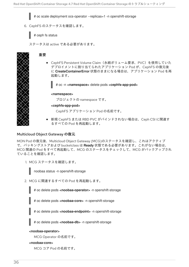# oc scale deployment ocs-operator --replicas=1 -n openshift-storage

```
6. CephFS のステータスを確認します。
```
# ceph fs status

ステータスは active である必要があります。

### 重要

CephFS Persistent Volume Claim(永続ボリューム要求、PVC)を使用していた デプロイメントに割り当てられたアプリケーション Pod が、CephFS の復元後 に **CreateContainerError** 状態のままになる場合は、アプリケーション Pod を再 起動します。

# oc -n **<namespace>** delete pods **<cephfs-app-pod>**

#### **<namespace>**

プロジェクトの namespace です。

#### **<cephfs-app-pod>**

CephFS アプリケーション Pod の名前です。

新規 CephFS または RBD PVC がバインドされない場合は、Ceph CSI に関連す るすべての Pod を再起動します。

#### Multicloud Object Gateway の復元

MON Pod の復元後、Multicloud Object Gateway (MCG)のステータスを確認し、これはアクティブ で、バッキングストアおよび bucketclass は **Ready** 状態である必要があります。これがない場合は、 MCG 関連の Pod をすべて再起動して、MCG のステータスをチェックして、MCG がバックアップされ ていることを確認します。

1. MCG ステータスを確認します。

noobaa status -n openshift-storage

2. MCG に関連するすべての Pod を再起動します。

# oc delete pods **<noobaa-operator>** -n openshift-storage

# oc delete pods **<noobaa-core>** -n openshift-storage

# oc delete pods **<noobaa-endpoint>** -n openshift-storage

# oc delete pods **<noobaa-db>** -n openshift-storage

#### **<noobaa-operator>**

MCG Operator の名前です。

#### **<noobaa-core>**

MCG コア Pod の名前です。